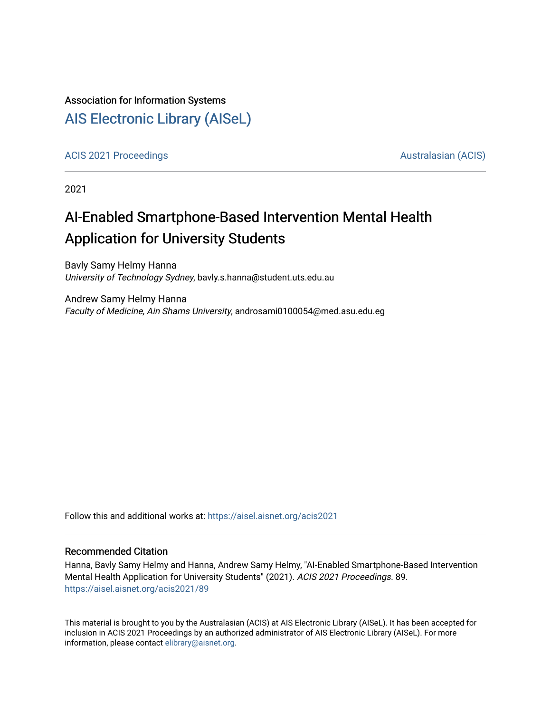#### Association for Information Systems

## [AIS Electronic Library \(AISeL\)](https://aisel.aisnet.org/)

[ACIS 2021 Proceedings](https://aisel.aisnet.org/acis2021) [Australasian \(ACIS\)](https://aisel.aisnet.org/acis) Australasian (ACIS)

2021

# AI-Enabled Smartphone-Based Intervention Mental Health Application for University Students

Bavly Samy Helmy Hanna University of Technology Sydney, bavly.s.hanna@student.uts.edu.au

Andrew Samy Helmy Hanna Faculty of Medicine, Ain Shams University, androsami0100054@med.asu.edu.eg

Follow this and additional works at: [https://aisel.aisnet.org/acis2021](https://aisel.aisnet.org/acis2021?utm_source=aisel.aisnet.org%2Facis2021%2F89&utm_medium=PDF&utm_campaign=PDFCoverPages) 

#### Recommended Citation

Hanna, Bavly Samy Helmy and Hanna, Andrew Samy Helmy, "AI-Enabled Smartphone-Based Intervention Mental Health Application for University Students" (2021). ACIS 2021 Proceedings. 89. [https://aisel.aisnet.org/acis2021/89](https://aisel.aisnet.org/acis2021/89?utm_source=aisel.aisnet.org%2Facis2021%2F89&utm_medium=PDF&utm_campaign=PDFCoverPages)

This material is brought to you by the Australasian (ACIS) at AIS Electronic Library (AISeL). It has been accepted for inclusion in ACIS 2021 Proceedings by an authorized administrator of AIS Electronic Library (AISeL). For more information, please contact [elibrary@aisnet.org.](mailto:elibrary@aisnet.org%3E)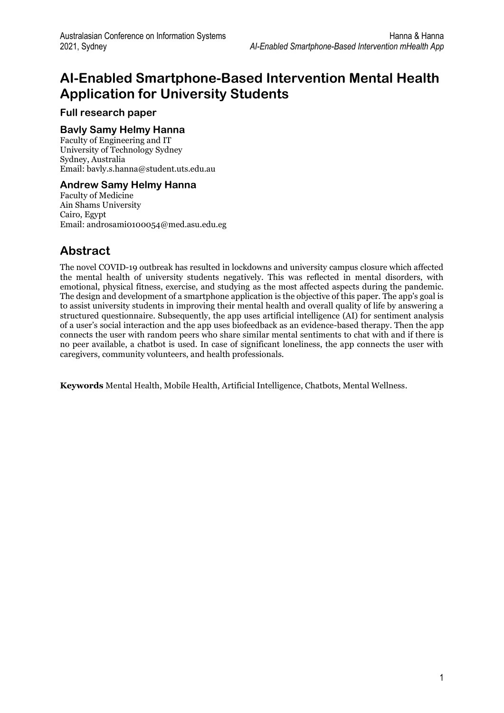## **AI-Enabled Smartphone-Based Intervention Mental Health Application for University Students**

**Full research paper** 

#### **Bavly Samy Helmy Hanna**

Faculty of Engineering and IT University of Technology Sydney Sydney, Australia Email: bavly.s.hanna@student.uts.edu.au

#### **Andrew Samy Helmy Hanna**

Faculty of Medicine Ain Shams University Cairo, Egypt Email: androsami0100054@med.asu.edu.eg

## **Abstract**

The novel COVID-19 outbreak has resulted in lockdowns and university campus closure which affected the mental health of university students negatively. This was reflected in mental disorders, with emotional, physical fitness, exercise, and studying as the most affected aspects during the pandemic. The design and development of a smartphone application is the objective of this paper. The app's goal is to assist university students in improving their mental health and overall quality of life by answering a structured questionnaire. Subsequently, the app uses artificial intelligence (AI) for sentiment analysis of a user's social interaction and the app uses biofeedback as an evidence-based therapy. Then the app connects the user with random peers who share similar mental sentiments to chat with and if there is no peer available, a chatbot is used. In case of significant loneliness, the app connects the user with caregivers, community volunteers, and health professionals.

**Keywords** Mental Health, Mobile Health, Artificial Intelligence, Chatbots, Mental Wellness.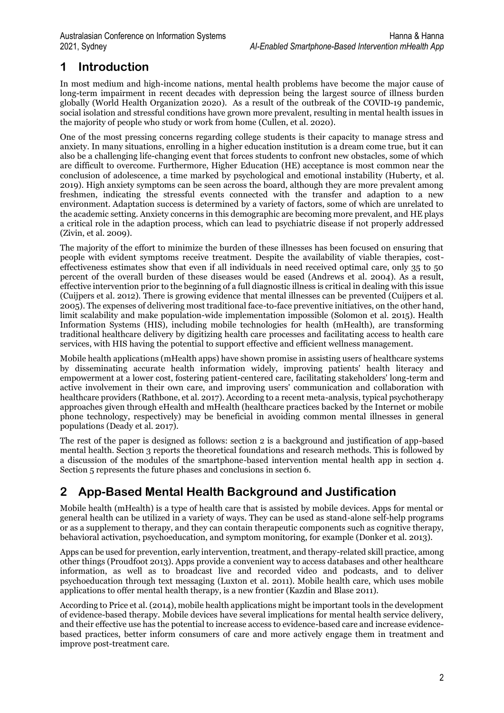## **1 Introduction**

In most medium and high-income nations, mental health problems have become the major cause of long-term impairment in recent decades with depression being the largest source of illness burden globally (World Health Organization 2020). As a result of the outbreak of the COVID-19 pandemic, social isolation and stressful conditions have grown more prevalent, resulting in mental health issues in the majority of people who study or work from home (Cullen, et al. 2020).

One of the most pressing concerns regarding college students is their capacity to manage stress and anxiety. In many situations, enrolling in a higher education institution is a dream come true, but it can also be a challenging life-changing event that forces students to confront new obstacles, some of which are difficult to overcome. Furthermore, Higher Education (HE) acceptance is most common near the conclusion of adolescence, a time marked by psychological and emotional instability (Huberty, et al. 2019). High anxiety symptoms can be seen across the board, although they are more prevalent among freshmen, indicating the stressful events connected with the transfer and adaption to a new environment. Adaptation success is determined by a variety of factors, some of which are unrelated to the academic setting. Anxiety concerns in this demographic are becoming more prevalent, and HE plays a critical role in the adaption process, which can lead to psychiatric disease if not properly addressed (Zivin, et al. 2009).

The majority of the effort to minimize the burden of these illnesses has been focused on ensuring that people with evident symptoms receive treatment. Despite the availability of viable therapies, costeffectiveness estimates show that even if all individuals in need received optimal care, only 35 to 50 percent of the overall burden of these diseases would be eased (Andrews et al. 2004). As a result, effective intervention prior to the beginning of a full diagnostic illness is critical in dealing with this issue (Cuijpers et al. 2012). There is growing evidence that mental illnesses can be prevented (Cuijpers et al. 2005). The expenses of delivering most traditional face-to-face preventive initiatives, on the other hand, limit scalability and make population-wide implementation impossible (Solomon et al. 2015). Health Information Systems (HIS), including mobile technologies for health (mHealth), are transforming traditional healthcare delivery by digitizing health care processes and facilitating access to health care services, with HIS having the potential to support effective and efficient wellness management.

Mobile health applications (mHealth apps) have shown promise in assisting users of healthcare systems by disseminating accurate health information widely, improving patients' health literacy and empowerment at a lower cost, fostering patient-centered care, facilitating stakeholders' long-term and active involvement in their own care, and improving users' communication and collaboration with healthcare providers (Rathbone, et al. 2017). According to a recent meta-analysis, typical psychotherapy approaches given through eHealth and mHealth (healthcare practices backed by the Internet or mobile phone technology, respectively) may be beneficial in avoiding common mental illnesses in general populations (Deady et al. 2017).

The rest of the paper is designed as follows: section 2 is a background and justification of app-based mental health. Section 3 reports the theoretical foundations and research methods. This is followed by a discussion of the modules of the smartphone-based intervention mental health app in section 4. Section 5 represents the future phases and conclusions in section 6.

## **2 App-Based Mental Health Background and Justification**

Mobile health (mHealth) is a type of health care that is assisted by mobile devices. Apps for mental or general health can be utilized in a variety of ways. They can be used as stand-alone self-help programs or as a supplement to therapy, and they can contain therapeutic components such as cognitive therapy, behavioral activation, psychoeducation, and symptom monitoring, for example (Donker et al. 2013).

Apps can be used for prevention, early intervention, treatment, and therapy-related skill practice, among other things (Proudfoot 2013). Apps provide a convenient way to access databases and other healthcare information, as well as to broadcast live and recorded video and podcasts, and to deliver psychoeducation through text messaging (Luxton et al. 2011). Mobile health care, which uses mobile applications to offer mental health therapy, is a new frontier (Kazdin and Blase 2011).

According to Price et al. (2014), mobile health applications might be important tools in the development of evidence-based therapy. Mobile devices have several implications for mental health service delivery, and their effective use has the potential to increase access to evidence-based care and increase evidencebased practices, better inform consumers of care and more actively engage them in treatment and improve post-treatment care.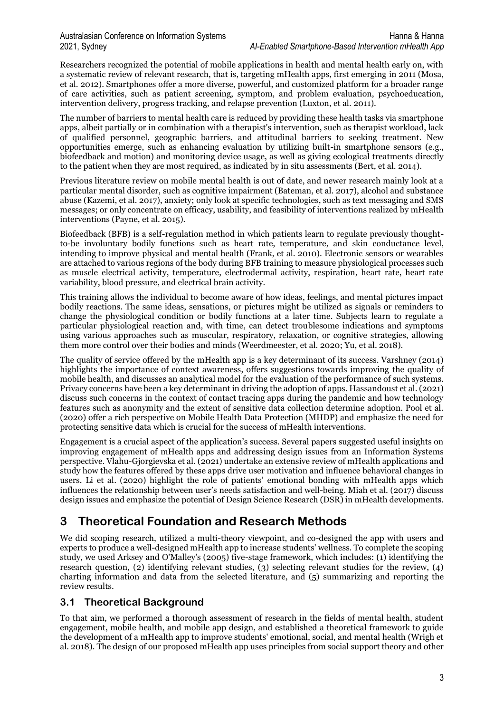Researchers recognized the potential of mobile applications in health and mental health early on, with a systematic review of relevant research, that is, targeting mHealth apps, first emerging in 2011 (Mosa, et al. 2012). Smartphones offer a more diverse, powerful, and customized platform for a broader range of care activities, such as patient screening, symptom, and problem evaluation, psychoeducation, intervention delivery, progress tracking, and relapse prevention (Luxton, et al. 2011).

The number of barriers to mental health care is reduced by providing these health tasks via smartphone apps, albeit partially or in combination with a therapist's intervention, such as therapist workload, lack of qualified personnel, geographic barriers, and attitudinal barriers to seeking treatment. New opportunities emerge, such as enhancing evaluation by utilizing built-in smartphone sensors (e.g., biofeedback and motion) and monitoring device usage, as well as giving ecological treatments directly to the patient when they are most required, as indicated by in situ assessments (Bert, et al. 2014).

Previous literature review on mobile mental health is out of date, and newer research mainly look at a particular mental disorder, such as cognitive impairment (Bateman, et al. 2017), alcohol and substance abuse (Kazemi, et al. 2017), anxiety; only look at specific technologies, such as text messaging and SMS messages; or only concentrate on efficacy, usability, and feasibility of interventions realized by mHealth interventions (Payne, et al. 2015).

Biofeedback (BFB) is a self-regulation method in which patients learn to regulate previously thoughtto-be involuntary bodily functions such as heart rate, temperature, and skin conductance level, intending to improve physical and mental health (Frank, et al. 2010). Electronic sensors or wearables are attached to various regions of the body during BFB training to measure physiological processes such as muscle electrical activity, temperature, electrodermal activity, respiration, heart rate, heart rate variability, blood pressure, and electrical brain activity.

This training allows the individual to become aware of how ideas, feelings, and mental pictures impact bodily reactions. The same ideas, sensations, or pictures might be utilized as signals or reminders to change the physiological condition or bodily functions at a later time. Subjects learn to regulate a particular physiological reaction and, with time, can detect troublesome indications and symptoms using various approaches such as muscular, respiratory, relaxation, or cognitive strategies, allowing them more control over their bodies and minds (Weerdmeester, et al. 2020; Yu, et al. 2018).

The quality of service offered by the mHealth app is a key determinant of its success. Varshney (2014) highlights the importance of context awareness, offers suggestions towards improving the quality of mobile health, and discusses an analytical model for the evaluation of the performance of such systems. Privacy concerns have been a key determinant in driving the adoption of apps. Hassandoust et al. (2021) discuss such concerns in the context of contact tracing apps during the pandemic and how technology features such as anonymity and the extent of sensitive data collection determine adoption. Pool et al. (2020) offer a rich perspective on Mobile Health Data Protection (MHDP) and emphasize the need for protecting sensitive data which is crucial for the success of mHealth interventions.

Engagement is a crucial aspect of the application's success. Several papers suggested useful insights on improving engagement of mHealth apps and addressing design issues from an Information Systems perspective. Vlahu-Gjorgievska et al. (2021) undertake an extensive review of mHealth applications and study how the features offered by these apps drive user motivation and influence behavioral changes in users. Li et al. (2020) highlight the role of patients' emotional bonding with mHealth apps which influences the relationship between user's needs satisfaction and well-being. Miah et al. (2017) discuss design issues and emphasize the potential of Design Science Research (DSR) in mHealth developments.

## **3 Theoretical Foundation and Research Methods**

We did scoping research, utilized a multi-theory viewpoint, and co-designed the app with users and experts to produce a well-designed mHealth app to increase students' wellness. To complete the scoping study, we used Arksey and O'Malley's (2005) five-stage framework, which includes: (1) identifying the research question, (2) identifying relevant studies, (3) selecting relevant studies for the review, (4) charting information and data from the selected literature, and (5) summarizing and reporting the review results.

#### **3.1 Theoretical Background**

To that aim, we performed a thorough assessment of research in the fields of mental health, student engagement, mobile health, and mobile app design, and established a theoretical framework to guide the development of a mHealth app to improve students' emotional, social, and mental health (Wrigh et al. 2018). The design of our proposed mHealth app uses principles from social support theory and other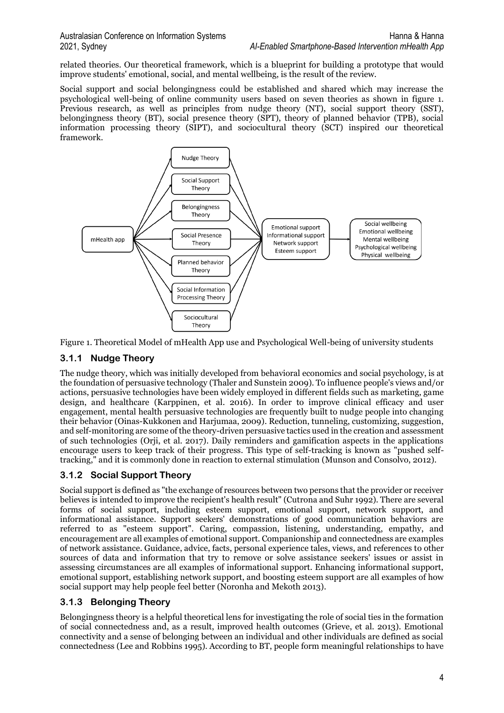related theories. Our theoretical framework, which is a blueprint for building a prototype that would improve students' emotional, social, and mental wellbeing, is the result of the review.

Social support and social belongingness could be established and shared which may increase the psychological well-being of online community users based on seven theories as shown in figure 1. Previous research, as well as principles from nudge theory (NT), social support theory (SST), belongingness theory (BT), social presence theory (SPT), theory of planned behavior (TPB), social information processing theory (SIPT), and sociocultural theory (SCT) inspired our theoretical framework.



Figure 1. Theoretical Model of mHealth App use and Psychological Well-being of university students

#### **3.1.1 Nudge Theory**

The nudge theory, which was initially developed from behavioral economics and social psychology, is at the foundation of persuasive technology (Thaler and Sunstein 2009). To influence people's views and/or actions, persuasive technologies have been widely employed in different fields such as marketing, game design, and healthcare (Karppinen, et al. 2016). In order to improve clinical efficacy and user engagement, mental health persuasive technologies are frequently built to nudge people into changing their behavior (Oinas-Kukkonen and Harjumaa, 2009). Reduction, tunneling, customizing, suggestion, and self-monitoring are some of the theory-driven persuasive tactics used in the creation and assessment of such technologies (Orji, et al. 2017). Daily reminders and gamification aspects in the applications encourage users to keep track of their progress. This type of self-tracking is known as "pushed selftracking," and it is commonly done in reaction to external stimulation (Munson and Consolvo, 2012).

#### **3.1.2 Social Support Theory**

Social support is defined as "the exchange of resources between two persons that the provider or receiver believes is intended to improve the recipient's health result" (Cutrona and Suhr 1992). There are several forms of social support, including esteem support, emotional support, network support, and informational assistance. Support seekers' demonstrations of good communication behaviors are referred to as "esteem support". Caring, compassion, listening, understanding, empathy, and encouragement are all examples of emotional support. Companionship and connectedness are examples of network assistance. Guidance, advice, facts, personal experience tales, views, and references to other sources of data and information that try to remove or solve assistance seekers' issues or assist in assessing circumstances are all examples of informational support. Enhancing informational support, emotional support, establishing network support, and boosting esteem support are all examples of how social support may help people feel better (Noronha and Mekoth 2013).

#### **3.1.3 Belonging Theory**

Belongingness theory is a helpful theoretical lens for investigating the role of social ties in the formation of social connectedness and, as a result, improved health outcomes (Grieve, et al. 2013). Emotional connectivity and a sense of belonging between an individual and other individuals are defined as social connectedness (Lee and Robbins 1995). According to BT, people form meaningful relationships to have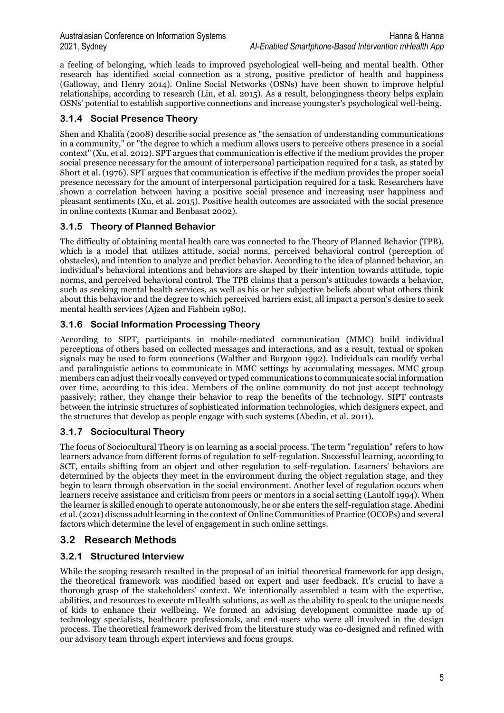a feeling of belonging, which leads to improved psychological well-being and mental health. Other research has identified social connection as a strong, positive predictor of health and happiness (Galloway, and Henry 2014). Online Social Networks (OSNs) have been shown to improve helpful relationships, according to research (Lin, et al. 2015). As a result, belongingness theory helps explain OSNs' potential to establish supportive connections and increase youngster's psychological well-being.

#### **3.1.4 Social Presence Theory**

Shen and Khalifa (2008) describe social presence as "the sensation of understanding communications in a community," or "the degree to which a medium allows users to perceive others presence in a social context" (Xu, et al. 2012). SPT argues that communication is effective if the medium provides the proper social presence necessary for the amount of interpersonal participation required for a task, as stated by Short et al. (1976). SPT argues that communication is effective if the medium provides the proper social presence necessary for the amount of interpersonal participation required for a task. Researchers have shown a correlation between having a positive social presence and increasing user happiness and pleasant sentiments (Xu, et al. 2015). Positive health outcomes are associated with the social presence in online contexts (Kumar and Benbasat 2002).

#### **3.1.5 Theory of Planned Behavior**

The difficulty of obtaining mental health care was connected to the Theory of Planned Behavior (TPB), which is a model that utilizes attitude, social norms, perceived behavioral control (perception of obstacles), and intention to analyze and predict behavior. According to the idea of planned behavior, an individual's behavioral intentions and behaviors are shaped by their intention towards attitude, topic norms, and perceived behavioral control. The TPB claims that a person's attitudes towards a behavior, such as seeking mental health services, as well as his or her subjective beliefs about what others think about this behavior and the degree to which perceived barriers exist, all impact a person's desire to seek mental health services (Ajzen and Fishbein 1980).

#### **3.1.6 Social Information Processing Theory**

According to SIPT, participants in mobile-mediated communication (MMC) build individual perceptions of others based on collected messages and interactions, and as a result, textual or spoken signals may be used to form connections (Walther and Burgoon 1992). Individuals can modify verbal and paralinguistic actions to communicate in MMC settings by accumulating messages. MMC group members can adjust their vocally conveyed or typed communications to communicate social information over time, according to this idea. Members of the online community do not just accept technology passively; rather, they change their behavior to reap the benefits of the technology. SIPT contrasts between the intrinsic structures of sophisticated information technologies, which designers expect, and the structures that develop as people engage with such systems (Abedin, et al. 2011).

#### **3.1.7 Sociocultural Theory**

The focus of Sociocultural Theory is on learning as a social process. The term "regulation" refers to how learners advance from different forms of regulation to self-regulation. Successful learning, according to SCT, entails shifting from an object and other regulation to self-regulation. Learners' behaviors are determined by the objects they meet in the environment during the object regulation stage, and they begin to learn through observation in the social environment. Another level of regulation occurs when learners receive assistance and criticism from peers or mentors in a social setting (Lantolf 1994). When the learner is skilled enough to operate autonomously, he or she enters the self-regulation stage. Abedini et al. (2021) discuss adult learning in the context of Online Communities of Practice (OCOPs) and several factors which determine the level of engagement in such online settings.

#### **3.2 Research Methods**

#### **3.2.1 Structured Interview**

While the scoping research resulted in the proposal of an initial theoretical framework for app design, the theoretical framework was modified based on expert and user feedback. It's crucial to have a thorough grasp of the stakeholders' context. We intentionally assembled a team with the expertise, abilities, and resources to execute mHealth solutions, as well as the ability to speak to the unique needs of kids to enhance their wellbeing. We formed an advising development committee made up of technology specialists, healthcare professionals, and end-users who were all involved in the design process. The theoretical framework derived from the literature study was co-designed and refined with our advisory team through expert interviews and focus groups.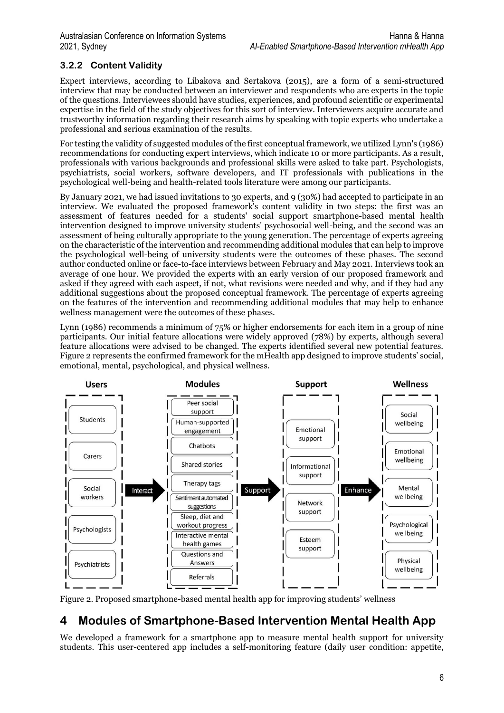#### **3.2.2 Content Validity**

Expert interviews, according to Libakova and Sertakova (2015), are a form of a semi-structured interview that may be conducted between an interviewer and respondents who are experts in the topic of the questions. Interviewees should have studies, experiences, and profound scientific or experimental expertise in the field of the study objectives for this sort of interview. Interviewers acquire accurate and trustworthy information regarding their research aims by speaking with topic experts who undertake a professional and serious examination of the results.

For testing the validity of suggested modules of the first conceptual framework, we utilized Lynn's (1986) recommendations for conducting expert interviews, which indicate 10 or more participants. As a result, professionals with various backgrounds and professional skills were asked to take part. Psychologists, psychiatrists, social workers, software developers, and IT professionals with publications in the psychological well-being and health-related tools literature were among our participants.

By January 2021, we had issued invitations to 30 experts, and 9 (30%) had accepted to participate in an interview. We evaluated the proposed framework's content validity in two steps: the first was an assessment of features needed for a students' social support smartphone-based mental health intervention designed to improve university students' psychosocial well-being, and the second was an assessment of being culturally appropriate to the young generation. The percentage of experts agreeing on the characteristic of the intervention and recommending additional modules that can help to improve the psychological well-being of university students were the outcomes of these phases. The second author conducted online or face-to-face interviews between February and May 2021. Interviews took an average of one hour. We provided the experts with an early version of our proposed framework and asked if they agreed with each aspect, if not, what revisions were needed and why, and if they had any additional suggestions about the proposed conceptual framework. The percentage of experts agreeing on the features of the intervention and recommending additional modules that may help to enhance wellness management were the outcomes of these phases.

Lynn (1986) recommends a minimum of 75% or higher endorsements for each item in a group of nine participants. Our initial feature allocations were widely approved (78%) by experts, although several feature allocations were advised to be changed. The experts identified several new potential features. Figure 2 represents the confirmed framework for the mHealth app designed to improve students' social, emotional, mental, psychological, and physical wellness.



Figure 2. Proposed smartphone-based mental health app for improving students' wellness

## **4 Modules of Smartphone-Based Intervention Mental Health App**

We developed a framework for a smartphone app to measure mental health support for university students. This user-centered app includes a self-monitoring feature (daily user condition: appetite,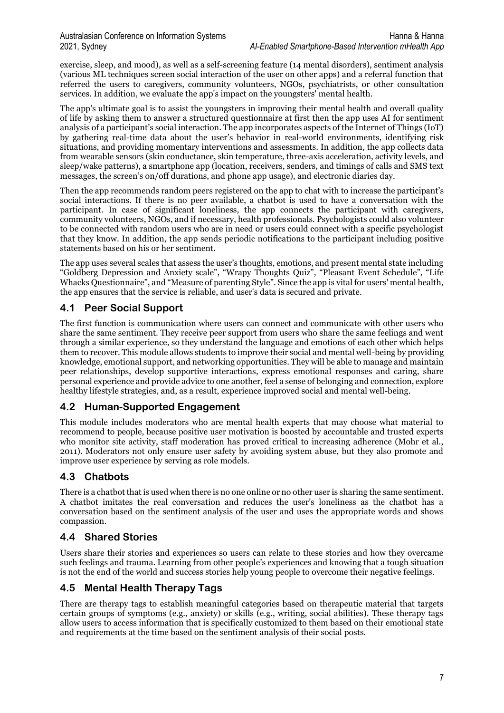exercise, sleep, and mood), as well as a self-screening feature (14 mental disorders), sentiment analysis (various ML techniques screen social interaction of the user on other apps) and a referral function that referred the users to caregivers, community volunteers, NGOs, psychiatrists, or other consultation services. In addition, we evaluate the app's impact on the youngsters' mental health.

The app's ultimate goal is to assist the youngsters in improving their mental health and overall quality of life by asking them to answer a structured questionnaire at first then the app uses AI for sentiment analysis of a participant's social interaction. The app incorporates aspects of the Internet of Things (IoT) by gathering real-time data about the user's behavior in real-world environments, identifying risk situations, and providing momentary interventions and assessments. In addition, the app collects data from wearable sensors (skin conductance, skin temperature, three-axis acceleration, activity levels, and sleep/wake patterns), a smartphone app (location, receivers, senders, and timings of calls and SMS text messages, the screen's on/off durations, and phone app usage), and electronic diaries day.

Then the app recommends random peers registered on the app to chat with to increase the participant's social interactions. If there is no peer available, a chatbot is used to have a conversation with the participant. In case of significant loneliness, the app connects the participant with caregivers, community volunteers, NGOs, and if necessary, health professionals. Psychologists could also volunteer to be connected with random users who are in need or users could connect with a specific psychologist that they know. In addition, the app sends periodic notifications to the participant including positive statements based on his or her sentiment.

The app uses several scales that assess the user's thoughts, emotions, and present mental state including "Goldberg Depression and Anxiety scale", "Wrapy Thoughts Quiz", "Pleasant Event Schedule", "Life Whacks Questionnaire", and "Measure of parenting Style". Since the app is vital for users' mental health, the app ensures that the service is reliable, and user's data is secured and private.

#### **4.1 Peer Social Support**

The first function is communication where users can connect and communicate with other users who share the same sentiment. They receive peer support from users who share the same feelings and went through a similar experience, so they understand the language and emotions of each other which helps them to recover. This module allows students to improve their social and mental well-being by providing knowledge, emotional support, and networking opportunities. They will be able to manage and maintain peer relationships, develop supportive interactions, express emotional responses and caring, share personal experience and provide advice to one another, feel a sense of belonging and connection, explore healthy lifestyle strategies, and, as a result, experience improved social and mental well-being.

### **4.2 Human-Supported Engagement**

This module includes moderators who are mental health experts that may choose what material to recommend to people, because positive user motivation is boosted by accountable and trusted experts who monitor site activity, staff moderation has proved critical to increasing adherence (Mohr et al., 2011). Moderators not only ensure user safety by avoiding system abuse, but they also promote and improve user experience by serving as role models.

#### **4.3 Chatbots**

There is a chatbot that is used when there is no one online or no other user is sharing the same sentiment. A chatbot imitates the real conversation and reduces the user's loneliness as the chatbot has a conversation based on the sentiment analysis of the user and uses the appropriate words and shows compassion.

#### **4.4 Shared Stories**

Users share their stories and experiences so users can relate to these stories and how they overcame such feelings and trauma. Learning from other people's experiences and knowing that a tough situation is not the end of the world and success stories help young people to overcome their negative feelings.

### **4.5 Mental Health Therapy Tags**

There are therapy tags to establish meaningful categories based on therapeutic material that targets certain groups of symptoms (e.g., anxiety) or skills (e.g., writing, social abilities). These therapy tags allow users to access information that is specifically customized to them based on their emotional state and requirements at the time based on the sentiment analysis of their social posts.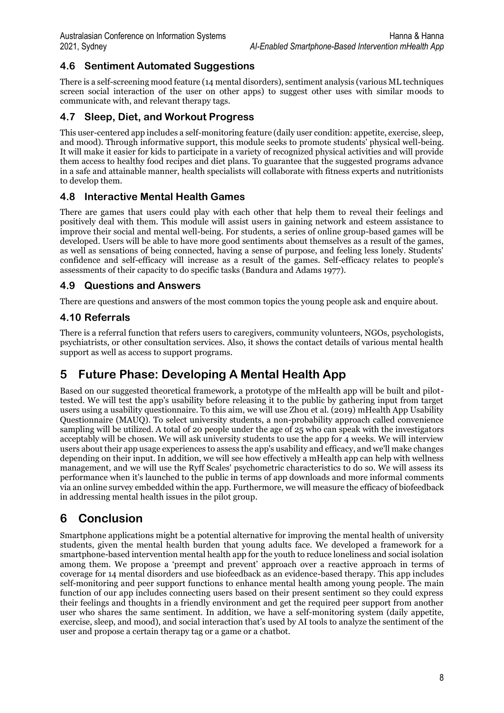#### **4.6 Sentiment Automated Suggestions**

There is a self-screening mood feature (14 mental disorders), sentiment analysis (various ML techniques screen social interaction of the user on other apps) to suggest other uses with similar moods to communicate with, and relevant therapy tags.

#### **4.7 Sleep, Diet, and Workout Progress**

This user-centered app includes a self-monitoring feature (daily user condition: appetite, exercise, sleep, and mood). Through informative support, this module seeks to promote students' physical well-being. It will make it easier for kids to participate in a variety of recognized physical activities and will provide them access to healthy food recipes and diet plans. To guarantee that the suggested programs advance in a safe and attainable manner, health specialists will collaborate with fitness experts and nutritionists to develop them.

#### **4.8 Interactive Mental Health Games**

There are games that users could play with each other that help them to reveal their feelings and positively deal with them. This module will assist users in gaining network and esteem assistance to improve their social and mental well-being. For students, a series of online group-based games will be developed. Users will be able to have more good sentiments about themselves as a result of the games, as well as sensations of being connected, having a sense of purpose, and feeling less lonely. Students' confidence and self-efficacy will increase as a result of the games. Self-efficacy relates to people's assessments of their capacity to do specific tasks (Bandura and Adams 1977).

#### **4.9 Questions and Answers**

There are questions and answers of the most common topics the young people ask and enquire about.

#### **4.10 Referrals**

There is a referral function that refers users to caregivers, community volunteers, NGOs, psychologists, psychiatrists, or other consultation services. Also, it shows the contact details of various mental health support as well as access to support programs.

## **5 Future Phase: Developing A Mental Health App**

Based on our suggested theoretical framework, a prototype of the mHealth app will be built and pilottested. We will test the app's usability before releasing it to the public by gathering input from target users using a usability questionnaire. To this aim, we will use Zhou et al. (2019) mHealth App Usability Questionnaire (MAUQ). To select university students, a non-probability approach called convenience sampling will be utilized. A total of 20 people under the age of 25 who can speak with the investigators acceptably will be chosen. We will ask university students to use the app for 4 weeks. We will interview users about their app usage experiences to assess the app's usability and efficacy, and we'll make changes depending on their input. In addition, we will see how effectively a mHealth app can help with wellness management, and we will use the Ryff Scales' psychometric characteristics to do so. We will assess its performance when it's launched to the public in terms of app downloads and more informal comments via an online survey embedded within the app. Furthermore, we will measure the efficacy of biofeedback in addressing mental health issues in the pilot group.

## **6 Conclusion**

Smartphone applications might be a potential alternative for improving the mental health of university students, given the mental health burden that young adults face. We developed a framework for a smartphone-based intervention mental health app for the youth to reduce loneliness and social isolation among them. We propose a 'preempt and prevent' approach over a reactive approach in terms of coverage for 14 mental disorders and use biofeedback as an evidence-based therapy. This app includes self-monitoring and peer support functions to enhance mental health among young people. The main function of our app includes connecting users based on their present sentiment so they could express their feelings and thoughts in a friendly environment and get the required peer support from another user who shares the same sentiment. In addition, we have a self-monitoring system (daily appetite, exercise, sleep, and mood), and social interaction that's used by AI tools to analyze the sentiment of the user and propose a certain therapy tag or a game or a chatbot.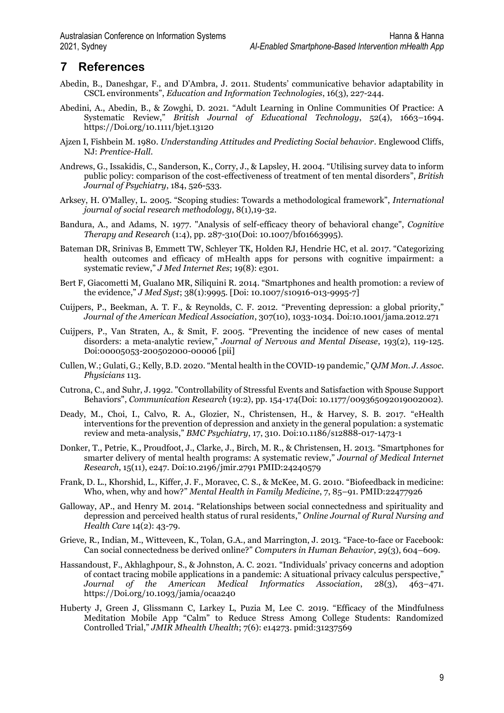## **7 References**

- Abedin, B., Daneshgar, F., and D'Ambra, J. 2011. Students' communicative behavior adaptability in CSCL environments", *Education and Information Technologies*, 16(3), 227-244.
- Abedini, A., Abedin, B., & Zowghi, D. 2021. "Adult Learning in Online Communities Of Practice: A Systematic Review," *British Journal of Educational Technology*, 52(4), 1663–1694. https://Doi.org/10.1111/bjet.13120
- Ajzen I, Fishbein M. 1980. *Understanding Attitudes and Predicting Social behavior*. Englewood Cliffs, NJ: *Prentice-Hall*.
- Andrews, G., Issakidis, C., Sanderson, K., Corry, J., & Lapsley, H. 2004. "Utilising survey data to inform public policy: comparison of the cost-effectiveness of treatment of ten mental disorders", *British Journal of Psychiatry*, 184, 526-533.
- Arksey, H. O'Malley, L. 2005. "Scoping studies: Towards a methodological framework", *International journal of social research methodology*, 8(1),19-32.
- Bandura, A., and Adams, N. 1977. "Analysis of self-efficacy theory of behavioral change", *Cognitive Therapy and Research* (1:4), pp. 287-310(Doi: 10.1007/bf01663995).
- Bateman DR, Srinivas B, Emmett TW, Schleyer TK, Holden RJ, Hendrie HC, et al. 2017. "Categorizing health outcomes and efficacy of mHealth apps for persons with cognitive impairment: a systematic review," *J Med Internet Res*; 19(8): e301.
- Bert F, Giacometti M, Gualano MR, Siliquini R. 2014. "Smartphones and health promotion: a review of the evidence," *J Med Syst*; 38(1):9995. [Doi: 10.1007/s10916-013-9995-7]
- Cuijpers, P., Beekman, A. T. F., & Reynolds, C. F. 2012. "Preventing depression: a global priority," *Journal of the American Medical Association*, 307(10), 1033-1034. Doi:10.1001/jama.2012.271
- Cuijpers, P., Van Straten, A., & Smit, F. 2005. "Preventing the incidence of new cases of mental disorders: a meta-analytic review," *Journal of Nervous and Mental Disease*, 193(2), 119-125. Doi:00005053-200502000-00006 [pii]
- Cullen, W.; Gulati, G.; Kelly, B.D. 2020. "Mental health in the COVID-19 pandemic," *QJM Mon. J. Assoc. Physicians* 113.
- Cutrona, C., and Suhr, J. 1992. "Controllability of Stressful Events and Satisfaction with Spouse Support Behaviors", *Communication Research* (19:2), pp. 154-174(Doi: 10.1177/009365092019002002).
- Deady, M., Choi, I., Calvo, R. A., Glozier, N., Christensen, H., & Harvey, S. B. 2017. "eHealth interventions for the prevention of depression and anxiety in the general population: a systematic review and meta-analysis," *BMC Psychiatry*, 17, 310. Doi:10.1186/s12888-017-1473-1
- Donker, T., Petrie, K., Proudfoot, J., Clarke, J., Birch, M. R., & Christensen, H. 2013. "Smartphones for smarter delivery of mental health programs: A systematic review," *Journal of Medical Internet Research*, 15(11), e247. Doi:10.2196/jmir.2791 PMID:24240579
- Frank, D. L., Khorshid, L., Kiffer, J. F., Moravec, C. S., & McKee, M. G. 2010. "Biofeedback in medicine: Who, when, why and how?" *Mental Health in Family Medicine*, 7, 85–91. PMID:22477926
- Galloway, AP., and Henry M. 2014. "Relationships between social connectedness and spirituality and depression and perceived health status of rural residents," *Online Journal of Rural Nursing and Health Care* 14(2): 43-79.
- Grieve, R., Indian, M., Witteveen, K., Tolan, G.A., and Marrington, J. 2013. "Face-to-face or Facebook: Can social connectedness be derived online?" *Computers in Human Behavior*, 29(3), 604–609.
- Hassandoust, F., Akhlaghpour, S., & Johnston, A. C. 2021. "Individuals' privacy concerns and adoption of contact tracing mobile applications in a pandemic: A situational privacy calculus perspective," *Journal of the American Medical Informatics Association*, 28(3), 463–471. https://Doi.org/10.1093/jamia/ocaa240
- Huberty J, Green J, Glissmann C, Larkey L, Puzia M, Lee C. 2019. "Efficacy of the Mindfulness Meditation Mobile App "Calm" to Reduce Stress Among College Students: Randomized Controlled Trial," *JMIR Mhealth Uhealth*; 7(6): e14273. pmid:31237569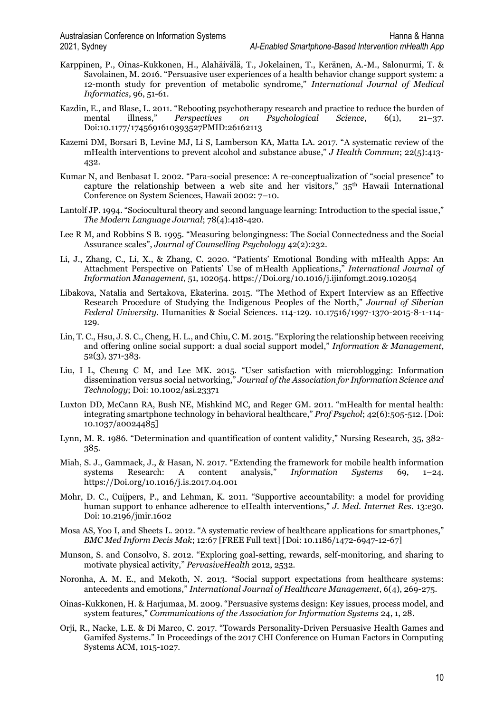- Karppinen, P., Oinas-Kukkonen, H., Alahäivälä, T., Jokelainen, T., Keränen, A.-M., Salonurmi, T. & Savolainen, M. 2016. "Persuasive user experiences of a health behavior change support system: a 12-month study for prevention of metabolic syndrome," *International Journal of Medical Informatics*, 96, 51-61.
- Kazdin, E., and Blase, L. 2011. "Rebooting psychotherapy research and practice to reduce the burden of mental illness." *Perspectives* on *Psychological Science*. 6(1), 21–37. mental illness," *Perspectives on Psychological Science*, 6(1), 21–37. Doi:10.1177/1745691610393527PMID:26162113
- Kazemi DM, Borsari B, Levine MJ, Li S, Lamberson KA, Matta LA. 2017. "A systematic review of the mHealth interventions to prevent alcohol and substance abuse," *J Health Commun*; 22(5):413- 432.
- Kumar N, and Benbasat I. 2002. "Para-social presence: A re-conceptualization of "social presence" to capture the relationship between a web site and her visitors," 35th Hawaii International Conference on System Sciences, Hawaii 2002: 7–10.
- Lantolf JP. 1994. "Sociocultural theory and second language learning: Introduction to the special issue," *The Modern Language Journal*; 78(4):418-420.
- Lee R M, and Robbins S B. 1995. "Measuring belongingness: The Social Connectedness and the Social Assurance scales", *Journal of Counselling Psychology* 42(2):232.
- Li, J., Zhang, C., Li, X., & Zhang, C. 2020. "Patients' Emotional Bonding with mHealth Apps: An Attachment Perspective on Patients' Use of mHealth Applications," *International Journal of Information Management*, 51, 102054. https://Doi.org/10.1016/j.ijinfomgt.2019.102054
- Libakova, Natalia and Sertakova, Ekaterina. 2015. "The Method of Expert Interview as an Effective Research Procedure of Studying the Indigenous Peoples of the North," *Journal of Siberian Federal University*. Humanities & Social Sciences. 114-129. 10.17516/1997-1370-2015-8-1-114- 129.
- Lin, T. C., Hsu, J. S. C., Cheng, H. L., and Chiu, C. M. 2015. "Exploring the relationship between receiving and offering online social support: a dual social support model," *Information & Management*, 52(3), 371-383.
- Liu, I L, Cheung C M, and Lee MK. 2015. "User satisfaction with microblogging: Information dissemination versus social networking," *Journal of the Association for Information Science and Technology*; Doi: 10.1002/asi.23371
- Luxton DD, McCann RA, Bush NE, Mishkind MC, and Reger GM. 2011. "mHealth for mental health: integrating smartphone technology in behavioral healthcare," *Prof Psychol*; 42(6):505-512. [Doi: 10.1037/a0024485]
- Lynn, M. R. 1986. "Determination and quantification of content validity," Nursing Research, 35, 382- 385.
- Miah, S. J., Gammack, J., & Hasan, N. 2017. "Extending the framework for mobile health information systems Research: A content analysis," *Information Systems* 69, 1–24. https://Doi.org/10.1016/j.is.2017.04.001
- Mohr, D. C., Cuijpers, P., and Lehman, K. 2011. "Supportive accountability: a model for providing human support to enhance adherence to eHealth interventions," *J. Med. Internet Res*. 13:e30. Doi: 10.2196/jmir.1602
- Mosa AS, Yoo I, and Sheets L. 2012. "A systematic review of healthcare applications for smartphones," *BMC Med Inform Decis Mak*; 12:67 [FREE Full text] [Doi: 10.1186/1472-6947-12-67]
- Munson, S. and Consolvo, S. 2012. "Exploring goal-setting, rewards, self-monitoring, and sharing to motivate physical activity," *PervasiveHealth* 2012, 2532.
- Noronha, A. M. E., and Mekoth, N. 2013. "Social support expectations from healthcare systems: antecedents and emotions," *International Journal of Healthcare Management*, 6(4), 269-275.
- Oinas-Kukkonen, H. & Harjumaa, M. 2009. "Persuasive systems design: Key issues, process model, and system features," *Communications of the Association for Information Systems* 24, 1, 28.
- Orji, R., Nacke, L.E. & Di Marco, C. 2017. "Towards Personality-Driven Persuasive Health Games and Gamifed Systems." In Proceedings of the 2017 CHI Conference on Human Factors in Computing Systems ACM, 1015-1027.